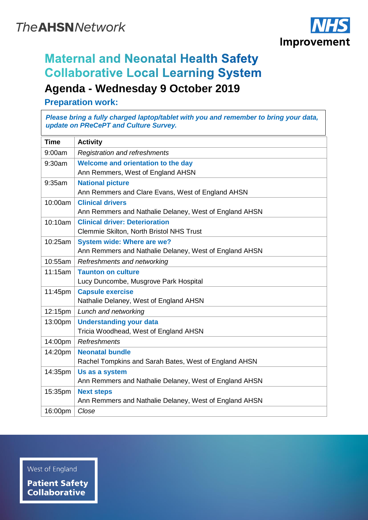

## **Maternal and Neonatal Health Safety Collaborative Local Learning System Agenda - Wednesday 9 October 2019**

**Preparation work:**

*Please bring a fully charged laptop/tablet with you and remember to bring your data, update on PReCePT and Culture Survey.*

| <b>Time</b> | <b>Activity</b>                                        |
|-------------|--------------------------------------------------------|
| 9:00am      | <b>Registration and refreshments</b>                   |
| 9:30am      | Welcome and orientation to the day                     |
|             | Ann Remmers, West of England AHSN                      |
| 9:35am      | <b>National picture</b>                                |
|             | Ann Remmers and Clare Evans, West of England AHSN      |
| 10:00am     | <b>Clinical drivers</b>                                |
|             | Ann Remmers and Nathalie Delaney, West of England AHSN |
| 10:10am     | <b>Clinical driver: Deterioration</b>                  |
|             | Clemmie Skilton, North Bristol NHS Trust               |
| 10:25am     | <b>System wide: Where are we?</b>                      |
|             | Ann Remmers and Nathalie Delaney, West of England AHSN |
| 10:55am     | Refreshments and networking                            |
| 11:15am     | <b>Taunton on culture</b>                              |
|             | Lucy Duncombe, Musgrove Park Hospital                  |
| 11:45pm     | <b>Capsule exercise</b>                                |
|             | Nathalie Delaney, West of England AHSN                 |
| 12:15pm     | Lunch and networking                                   |
| 13:00pm     | <b>Understanding your data</b>                         |
|             | Tricia Woodhead, West of England AHSN                  |
| 14:00pm     | Refreshments                                           |
| 14:20pm     | <b>Neonatal bundle</b>                                 |
|             | Rachel Tompkins and Sarah Bates, West of England AHSN  |
| 14:35pm     | Us as a system                                         |
|             | Ann Remmers and Nathalie Delaney, West of England AHSN |
| 15:35pm     | <b>Next steps</b>                                      |
|             | Ann Remmers and Nathalie Delaney, West of England AHSN |
| 16:00pm     | Close                                                  |

West of England

**Patient Safety Collaborative**